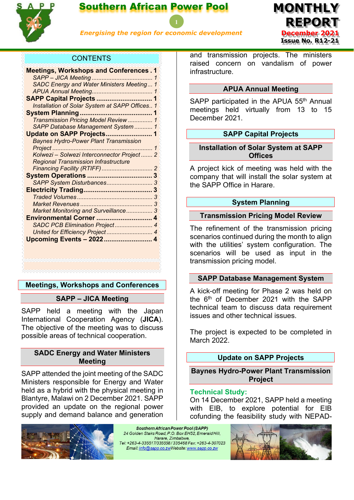

## Southern African Power Pool



*Energising the region for economic development*

## **CONTENTS**

| <b>Meetings, Workshops and Conferences.1</b>   |   |
|------------------------------------------------|---|
|                                                |   |
| SADC Energy and Water Ministers Meeting 1      |   |
|                                                |   |
|                                                |   |
| Installation of Solar System at SAPP Offices 1 |   |
|                                                |   |
| Transmission Pricing Model Review  1           |   |
| SAPP Database Management System  1             |   |
| Update on SAPP Projects 1                      |   |
| <b>Baynes Hydro-Power Plant Transmission</b>   |   |
| Project                                        | 1 |
| Kolwezi - Solwezi Interconnector Project 2     |   |
| <b>Regional Transmission Infrastructure</b>    |   |
|                                                |   |
|                                                |   |
|                                                |   |
|                                                |   |
|                                                | 3 |
|                                                |   |
| Market Monitoring and Surveillance 3           |   |
| Environmental Corner  4                        |   |
| SADC PCB Elimination Project 4                 |   |
|                                                |   |
|                                                |   |
|                                                |   |
|                                                |   |
|                                                |   |

## <span id="page-0-1"></span><span id="page-0-0"></span>**Meetings, Workshops and Conferences**

## **SAPP – JICA Meeting**

SAPP held a meeting with the Japan International Cooperation Agency (**JICA**). The objective of the meeting was to discuss possible areas of technical cooperation.

### <span id="page-0-2"></span>**SADC Energy and Water Ministers Meeting**

SAPP attended the joint meeting of the SADC Ministers responsible for Energy and Water held as a hybrid with the physical meeting in Blantyre, Malawi on 2 December 2021. SAPP provided an update on the regional power supply and demand balance and generation



Southern African Power Pool (SAPP) 24 Golden Stairs Road, P.O. Box EH52, Emerald Hill, Harare, Zimbabwe, Tel: +263-4-335517/335558/335468 Fax: +263-4-307023 Email: info@sapp.co.zwWebsite: www.sapp.co.zw

and transmission projects. The ministers raised concern on vandalism of power infrastructure.

#### **APUA Annual Meeting**

<span id="page-0-4"></span><span id="page-0-3"></span>SAPP participated in the APUA 55<sup>th</sup> Annual meetings held virtually from 13 to 15 December 2021.

## **SAPP Capital Projects**

<span id="page-0-5"></span>**Installation of Solar System at SAPP Offices**

A project kick of meeting was held with the company that will install the solar system at the SAPP Office in Harare.

### **System Planning**

## <span id="page-0-7"></span><span id="page-0-6"></span>**Transmission Pricing Model Review**

The refinement of the transmission pricing scenarios continued during the month to align with the utilities' system configuration. The scenarios will be used as input in the transmission pricing model.

#### <span id="page-0-8"></span>**SAPP Database Management System**

A kick-off meeting for Phase 2 was held on the 6<sup>th</sup> of December 2021 with the SAPP technical team to discuss data requirement issues and other technical issues.

The project is expected to be completed in March 2022.

## **Update on SAPP Projects**

<span id="page-0-10"></span><span id="page-0-9"></span>**Baynes Hydro-Power Plant Transmission Project**

#### **Technical Study:**

On 14 December 2021, SAPP held a meeting with EIB, to explore potential for EIB cofunding the feasibility study with NEPAD-

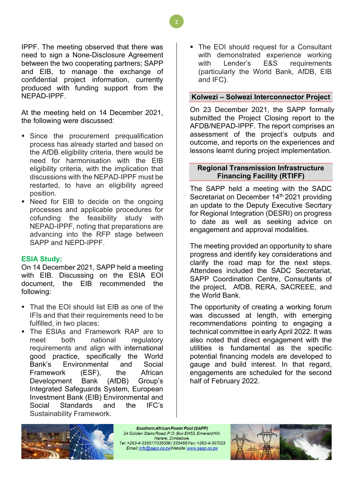IPPF. The meeting observed that there was need to sign a None-Disclosure Agreement between the two cooperating partners; SAPP and EIB, to manage the exchange of confidential project information, currently produced with funding support from the NEPAD-IPPF.

At the meeting held on 14 December 2021, the following were discussed:

- Since the procurement prequalification process has already started and based on the AfDB eligibility criteria, there would be need for harmonisation with the EIB eligibility criteria, with the implication that discussions with the NEPAD-IPPF must be restarted, to have an eligibility agreed position.
- Need for EIB to decide on the ongoing processes and applicable procedures for cofunding the feasibility study with NEPAD-IPPF, noting that preparations are advancing into the RFP stage between SAPP and NEPD-IPPF.

## **ESIA Study:**

On 14 December 2021, SAPP held a meeting with EIB. Discussing on the ESIA EOI document, the EIB recommended the following:

- That the FOI should list FIB as one of the IFIs and that their requirements need to be fulfilled, in two places:
- The ESIAs and Framework RAP are to meet both national regulatory requirements and align with international good practice, specifically the World Bank's Environmental and Social Framework (ESF), the African Development Bank (AfDB) Group's Integrated Safeguards System, European Investment Bank (EIB) Environmental and Social Standards and the IFC's Sustainability Framework.

 The EOI should request for a Consultant with demonstrated experience working with Lender's E&S requirements (particularly the World Bank, AfDB, EIB and IFC).

## <span id="page-1-0"></span>**Kolwezi – Solwezi Interconnector Project**

On 23 December 2021, the SAPP formally submitted the Project Closing report to the AFDB/NEPAD-IPPF. The report comprises an assessment of the project's outputs and outcome, and reports on the experiences and lessons learnt during project implementation.

## <span id="page-1-1"></span>**Regional Transmission Infrastructure Financing Facility (RTIFF)**

The SAPP held a meeting with the SADC Secretariat on December 14<sup>th</sup> 2021 providing an update to the Deputy Executive Secrtary for Regional Integration (DESRI) on progress to date as well as seeking advice on engagement and approval modalities.

The meeting provided an opportunity to share progress and identify key considerations and clarify the road map for the next steps. Attendees included the SADC Secretariat, SAPP Coordination Centre, Consultants of the project, AfDB, RERA, SACREEE, and the World Bank.

The opportunity of creating a working forum was discussed at length, with emerging recommendations pointing to engaging a technical committee in early April 2022. It was also noted that direct engagement with the utilities is fundamental as the specific potential financing models are developed to gauge and build interest. In that regard, engagements are scheduled for the second half of February 2022.



Southern African Power Pool (SAPP) 24 Golden Stairs Road, P.O. Box EH52, Emerald Hill, Harare, Zimbabwe, Tel: +263-4-335517/335558/335468 Fax: +263-4-307023 Email: info@sapp.co.zwWebsite: www.sapp.co.zw



**2**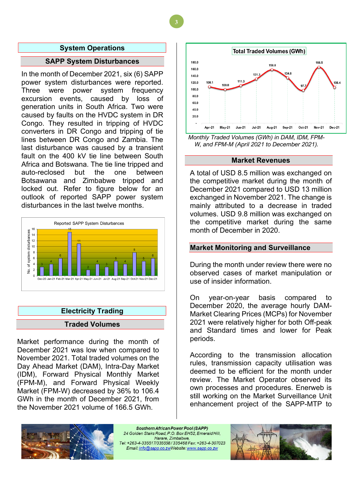#### **System Operations**

#### **SAPP System Disturbances**

<span id="page-2-1"></span><span id="page-2-0"></span>In the month of December 2021, six (6) SAPP power system disturbances were reported. Three were power system frequency excursion events, caused by loss of generation units in South Africa. Two were caused by faults on the HVDC system in DR Congo. They resulted in tripping of HVDC converters in DR Congo and tripping of tie lines between DR Congo and Zambia. The last disturbance was caused by a transient fault on the 400 kV tie line between South Africa and Botswana. The tie line tripped and auto-reclosed but the one between Botsawana and Zimbabwe tripped and locked out. Refer to figure below for an outlook of reported SAPP power system disturbances in the last twelve months.



# <span id="page-2-2"></span>**Electricity Trading Traded Volumes**

<span id="page-2-3"></span>Market performance during the month of December 2021 was low when compared to November 2021. Total traded volumes on the Day Ahead Market (DAM), Intra-Day Market (IDM), Forward Physical Monthly Market (FPM-M), and Forward Physical Weekly Market (FPM-W) decreased by 36% to 106.4 GWh in the month of December 2021, from the November 2021 volume of 166.5 GWh.



*Monthly Traded Volumes (GWh) in DAM, IDM, FPM-W, and FPM-M (April 2021 to December 2021).*

#### **Market Revenues**

<span id="page-2-4"></span>A total of USD 8.5 million was exchanged on the competitive market during the month of December 2021 compared to USD 13 million exchanged in November 2021. The change is mainly attributed to a decrease in traded volumes. USD 9.8 million was exchanged on the competitive market during the same month of December in 2020.

#### <span id="page-2-5"></span>**Market Monitoring and Surveillance**

During the month under review there were no observed cases of market manipulation or use of insider information.

On year-on-year basis compared to December 2020, the average hourly DAM-Market Clearing Prices (MCPs) for November 2021 were relatively higher for both Off-peak and Standard times and lower for Peak periods.

According to the transmission allocation rules, transmission capacity utilisation was deemed to be efficient for the month under review. The Market Operator observed its own processes and procedures. Enerweb is still working on the Market Surveillance Unit enhancement project of the SAPP-MTP to



Southern African Power Pool (SAPP) 24 Golden Stairs Road, P.O. Box EH52, Emerald Hill. Harare, Zimbabwe, Email: info@sapp.co.zwWebsite: www.sapp.co.zw



**3**